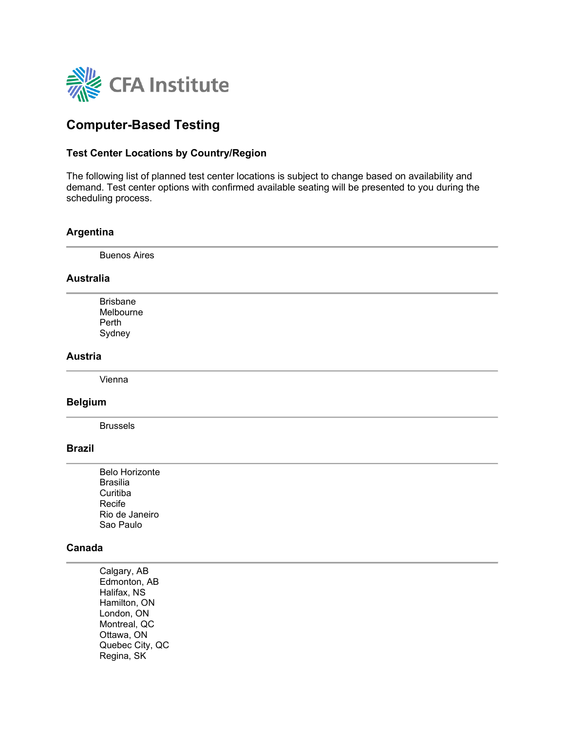

# **Computer-Based Testing**

### **Test Center Locations by Country/Region**

The following list of planned test center locations is subject to change based on availability and demand. Test center options with confirmed available seating will be presented to you during the scheduling process.

#### **Argentina**

Buenos Aires

#### **Australia**

Brisbane Melbourne Perth Sydney

# **Austria**

Vienna

#### **Belgium**

Brussels

#### **Brazil**

Belo Horizonte Brasilia **Curitiba** Recife Rio de Janeiro Sao Paulo

#### **Canada**

Calgary, AB Edmonton, AB Halifax, NS Hamilton, ON London, ON Montreal, QC Ottawa, ON Quebec City, QC Regina, SK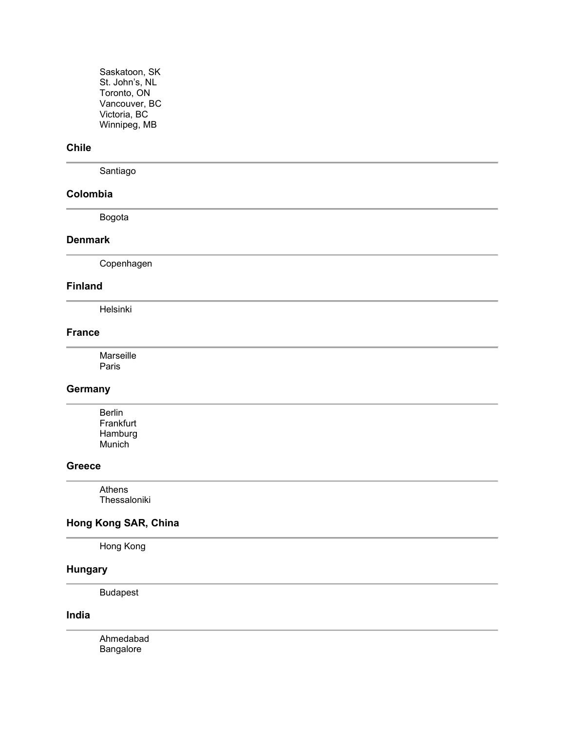Saskatoon, SK St. John's, NL Toronto, ON Vancouver, BC Victoria, BC Winnipeg, MB

# **Chile**

Santiago

### **Colombia**

Bogota

# **Denmark**

Copenhagen

### **Finland**

Helsinki

# **France**

Marseille Paris

# **Germany**

Berlin Frankfurt Hamburg Munich

#### **Greece**

Athens Thessaloniki

# **Hong Kong SAR, China**

Hong Kong

### **Hungary**

Budapest

### **India**

Ahmedabad Bangalore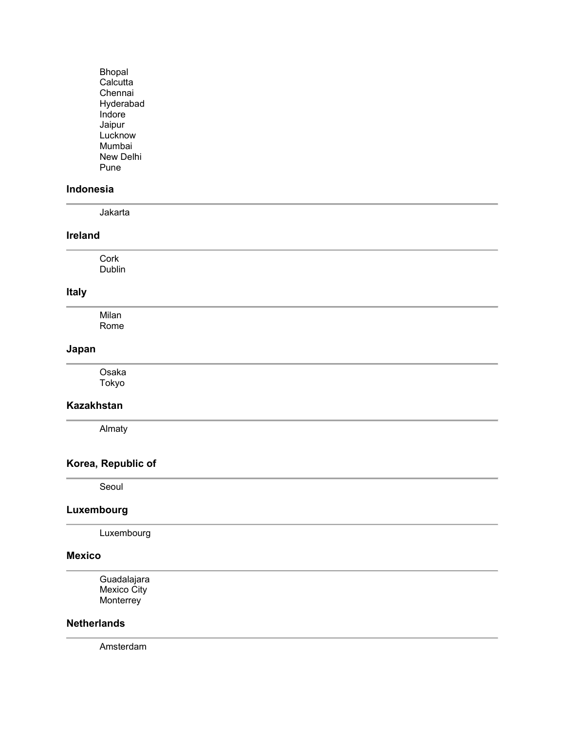Bhopal Calcutta Chennai Hyderabad Indore Jaipur Lucknow Mumbai New Delhi Pune

### **Indonesia**

Jakarta

### **Ireland**

Cork Dublin

# **Italy**

Milan Rome

#### **Japan**

Osaka Tokyo

# **Kazakhstan**

Almaty

# **Korea, Republic of**

Seoul

#### **Luxembourg**

Luxembourg

### **Mexico**

Guadalajara Mexico City **Monterrey** 

#### **Netherlands**

Amsterdam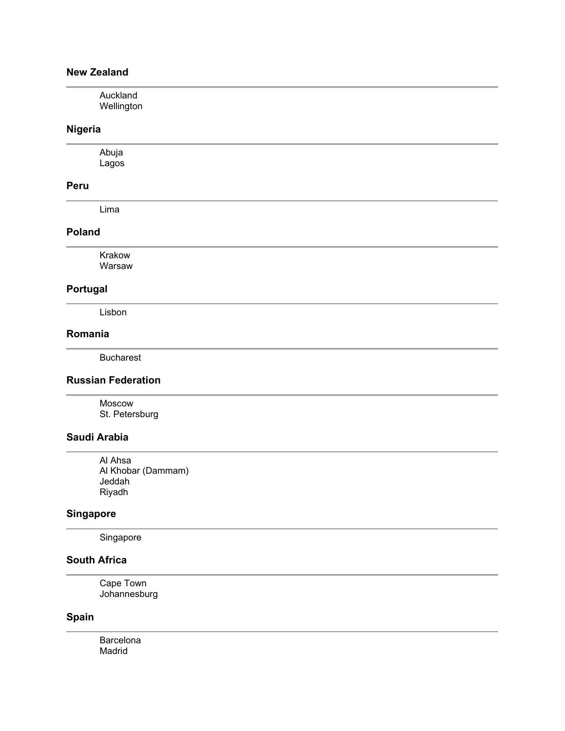# **New Zealand**

| Auckland<br>Wellington |  |  |  |
|------------------------|--|--|--|
| Nigeria                |  |  |  |

Abuja Lagos

### **Peru**

Lima

### **Poland**

Krakow Warsaw

# **Portugal**

Lisbon

### **Romania**

Bucharest

# **Russian Federation**

Moscow St. Petersburg

# **Saudi Arabia**

Al Ahsa Al Khobar (Dammam) Jeddah Riyadh

# **Singapore**

Singapore

# **South Africa**

Cape Town Johannesburg

# **Spain**

Barcelona Madrid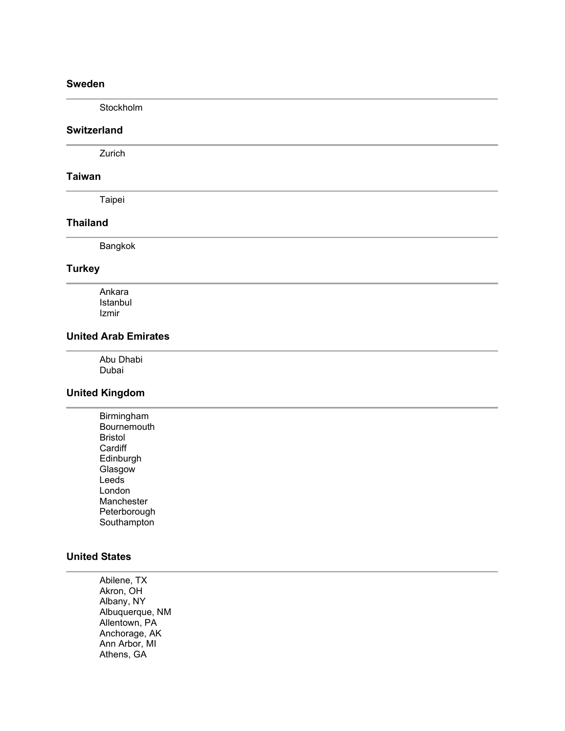### **Sweden**

Stockholm

# **Switzerland**

Zurich

#### **Taiwan**

Taipei

#### **Thailand**

Bangkok

#### **Turkey**

Ankara Istanbul Izmir

# **United Arab Emirates**

Abu Dhabi Dubai

# **United Kingdom**

Birmingham **Bournemouth** Bristol **Cardiff Edinburgh Glasgow Leeds** London Manchester Peterborough **Southampton** 

### **United States**

Abilene, TX Akron, OH Albany, NY Albuquerque, NM Allentown, PA Anchorage, AK Ann Arbor, MI Athens, GA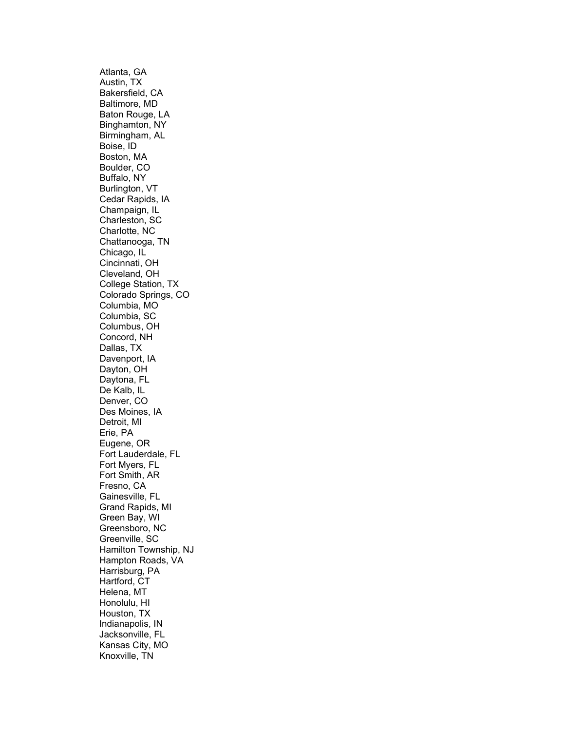Atlanta, GA Austin, TX Bakersfield, CA Baltimore, MD Baton Rouge, LA Binghamton, NY Birmingham, AL Boise, ID Boston, MA Boulder, CO Buffalo, NY Burlington, VT Cedar Rapids, IA Champaign, IL Charleston, SC Charlotte, NC Chattanooga, TN Chicago, IL Cincinnati, OH Cleveland, OH College Station, TX Colorado Springs, CO Columbia, MO Columbia, SC Columbus, OH Concord, NH Dallas, TX Davenport, IA Dayton, OH Daytona, FL De Kalb, IL Denver, CO Des Moines, IA Detroit, MI Erie, PA Eugene, OR Fort Lauderdale, FL Fort Myers, FL Fort Smith, AR Fresno, CA Gainesville, FL Grand Rapids, MI Green Bay, WI Greensboro, NC Greenville, SC Hamilton Township, NJ Hampton Roads, VA Harrisburg, PA Hartford, CT Helena, MT Honolulu, HI Houston, TX Indianapolis, IN Jacksonville, FL Kansas City, MO Knoxville, TN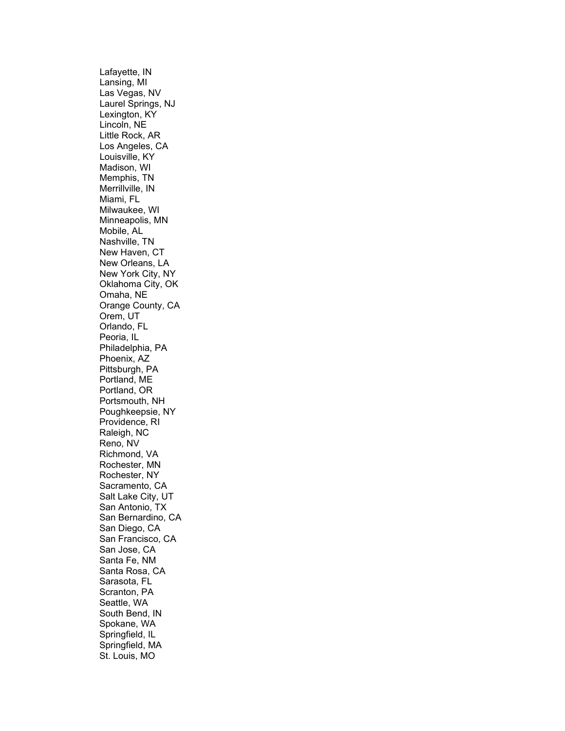Lafayette, IN Lansing, MI Las Vegas, NV Laurel Springs, NJ Lexington, KY Lincoln, NE Little Rock, AR Los Angeles, CA Louisville, KY Madison, WI Memphis, TN Merrillville, IN Miami, FL Milwaukee, WI Minneapolis, MN Mobile, AL Nashville, TN New Haven, CT New Orleans, LA New York City, NY Oklahoma City, OK Omaha, NE Orange County, CA Orem, UT Orlando, FL Peoria, IL Philadelphia, PA Phoenix, AZ Pittsburgh, PA Portland, ME Portland, OR Portsmouth, NH Poughkeepsie, NY Providence, RI Raleigh, NC Reno, NV Richmond, VA Rochester, MN Rochester, NY Sacramento, CA Salt Lake City, UT San Antonio, TX San Bernardino, CA San Diego, CA San Francisco, CA San Jose, CA Santa Fe, NM Santa Rosa, CA Sarasota, FL Scranton, PA Seattle, WA South Bend, IN Spokane, WA Springfield, IL Springfield, MA St. Louis, MO